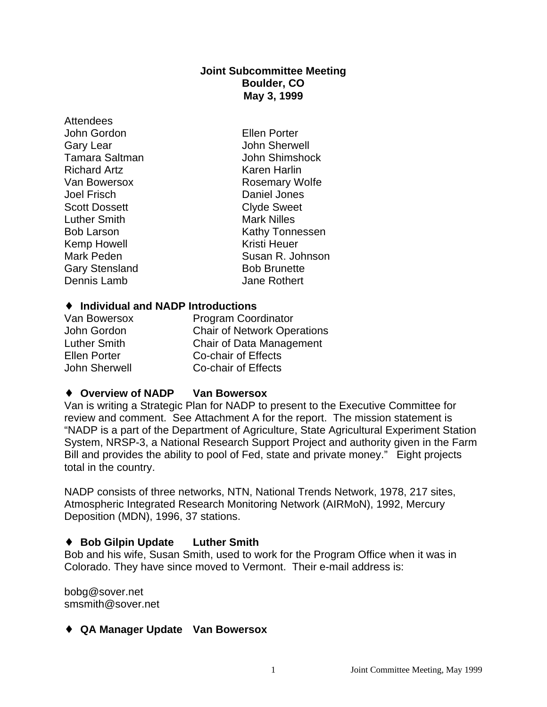#### **Joint Subcommittee Meeting Boulder, CO May 3, 1999**

Attendees John Gordon Ellen Porter Richard Artz **Karen Harlin** Scott Dossett Luther Smith Mark Nilles Kemp Howell **Kristi Heuer** 

Gary Lear **Gary Lear John Sherwell** Tamara Saltman **John Shimshock** Van Bowersox **Rosemary Wolfe** Joel Frisch Daniel Jones Bob Larson **Kathy Tonnessen** Mark Peden Susan R. Johnson Gary Stensland Bob Brunette Dennis Lamb Jane Rothert

#### ♦ **Individual and NADP Introductions**

| <b>Program Coordinator</b>         |
|------------------------------------|
| <b>Chair of Network Operations</b> |
| Chair of Data Management           |
| Co-chair of Effects                |
| <b>Co-chair of Effects</b>         |
|                                    |

#### ♦ **Overview of NADP Van Bowersox**

Van is writing a Strategic Plan for NADP to present to the Executive Committee for review and comment. See Attachment A for the report. The mission statement is "NADP is a part of the Department of Agriculture, State Agricultural Experiment Station System, NRSP-3, a National Research Support Project and authority given in the Farm Bill and provides the ability to pool of Fed, state and private money." Eight projects total in the country.

NADP consists of three networks, NTN, National Trends Network, 1978, 217 sites, Atmospheric Integrated Research Monitoring Network (AIRMoN), 1992, Mercury Deposition (MDN), 1996, 37 stations.

#### ♦ **Bob Gilpin Update Luther Smith**

Bob and his wife, Susan Smith, used to work for the Program Office when it was in Colorado. They have since moved to Vermont. Their e-mail address is:

bobg@sover.net smsmith@sover.net

#### ♦ **QA Manager Update Van Bowersox**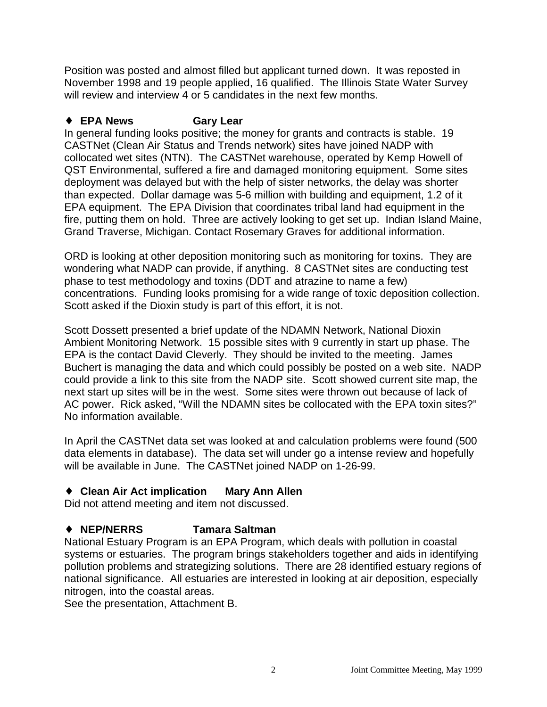Position was posted and almost filled but applicant turned down. It was reposted in November 1998 and 19 people applied, 16 qualified. The Illinois State Water Survey will review and interview 4 or 5 candidates in the next few months.

# ♦ **EPA News Gary Lear**

In general funding looks positive; the money for grants and contracts is stable. 19 CASTNet (Clean Air Status and Trends network) sites have joined NADP with collocated wet sites (NTN). The CASTNet warehouse, operated by Kemp Howell of QST Environmental, suffered a fire and damaged monitoring equipment. Some sites deployment was delayed but with the help of sister networks, the delay was shorter than expected. Dollar damage was 5-6 million with building and equipment, 1.2 of it EPA equipment. The EPA Division that coordinates tribal land had equipment in the fire, putting them on hold. Three are actively looking to get set up. Indian Island Maine, Grand Traverse, Michigan. Contact Rosemary Graves for additional information.

ORD is looking at other deposition monitoring such as monitoring for toxins. They are wondering what NADP can provide, if anything. 8 CASTNet sites are conducting test phase to test methodology and toxins (DDT and atrazine to name a few) concentrations. Funding looks promising for a wide range of toxic deposition collection. Scott asked if the Dioxin study is part of this effort, it is not.

Scott Dossett presented a brief update of the NDAMN Network, National Dioxin Ambient Monitoring Network. 15 possible sites with 9 currently in start up phase. The EPA is the contact David Cleverly. They should be invited to the meeting. James Buchert is managing the data and which could possibly be posted on a web site. NADP could provide a link to this site from the NADP site. Scott showed current site map, the next start up sites will be in the west. Some sites were thrown out because of lack of AC power. Rick asked, "Will the NDAMN sites be collocated with the EPA toxin sites?" No information available.

In April the CASTNet data set was looked at and calculation problems were found (500 data elements in database). The data set will under go a intense review and hopefully will be available in June. The CASTNet joined NADP on 1-26-99.

# ♦ **Clean Air Act implication Mary Ann Allen**

Did not attend meeting and item not discussed.

# ♦ **NEP/NERRS Tamara Saltman**

National Estuary Program is an EPA Program, which deals with pollution in coastal systems or estuaries. The program brings stakeholders together and aids in identifying pollution problems and strategizing solutions. There are 28 identified estuary regions of national significance. All estuaries are interested in looking at air deposition, especially nitrogen, into the coastal areas.

See the presentation, Attachment B.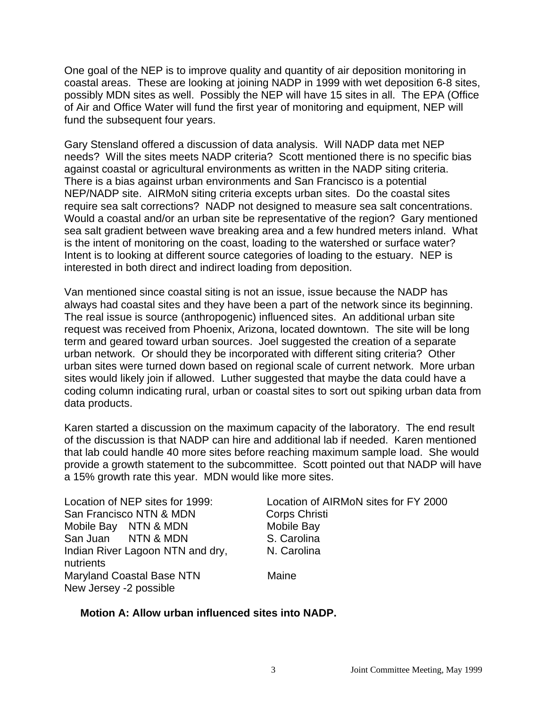One goal of the NEP is to improve quality and quantity of air deposition monitoring in coastal areas. These are looking at joining NADP in 1999 with wet deposition 6-8 sites, possibly MDN sites as well. Possibly the NEP will have 15 sites in all. The EPA (Office of Air and Office Water will fund the first year of monitoring and equipment, NEP will fund the subsequent four years.

Gary Stensland offered a discussion of data analysis. Will NADP data met NEP needs? Will the sites meets NADP criteria? Scott mentioned there is no specific bias against coastal or agricultural environments as written in the NADP siting criteria. There is a bias against urban environments and San Francisco is a potential NEP/NADP site. AIRMoN siting criteria excepts urban sites. Do the coastal sites require sea salt corrections? NADP not designed to measure sea salt concentrations. Would a coastal and/or an urban site be representative of the region? Gary mentioned sea salt gradient between wave breaking area and a few hundred meters inland. What is the intent of monitoring on the coast, loading to the watershed or surface water? Intent is to looking at different source categories of loading to the estuary. NEP is interested in both direct and indirect loading from deposition.

Van mentioned since coastal siting is not an issue, issue because the NADP has always had coastal sites and they have been a part of the network since its beginning. The real issue is source (anthropogenic) influenced sites. An additional urban site request was received from Phoenix, Arizona, located downtown. The site will be long term and geared toward urban sources. Joel suggested the creation of a separate urban network. Or should they be incorporated with different siting criteria? Other urban sites were turned down based on regional scale of current network. More urban sites would likely join if allowed. Luther suggested that maybe the data could have a coding column indicating rural, urban or coastal sites to sort out spiking urban data from data products.

Karen started a discussion on the maximum capacity of the laboratory. The end result of the discussion is that NADP can hire and additional lab if needed. Karen mentioned that lab could handle 40 more sites before reaching maximum sample load. She would provide a growth statement to the subcommittee. Scott pointed out that NADP will have a 15% growth rate this year. MDN would like more sites.

| Location of NEP sites for 1999:<br>San Francisco NTN & MDN | Location of AIRMoN sites for FY 2000<br>Corps Christi |
|------------------------------------------------------------|-------------------------------------------------------|
| Mobile Bay NTN & MDN                                       | Mobile Bay                                            |
| San Juan NTN & MDN                                         | S. Carolina                                           |
| Indian River Lagoon NTN and dry,<br>nutrients              | N. Carolina                                           |
| <b>Maryland Coastal Base NTN</b><br>New Jersey -2 possible | Maine                                                 |

#### **Motion A: Allow urban influenced sites into NADP.**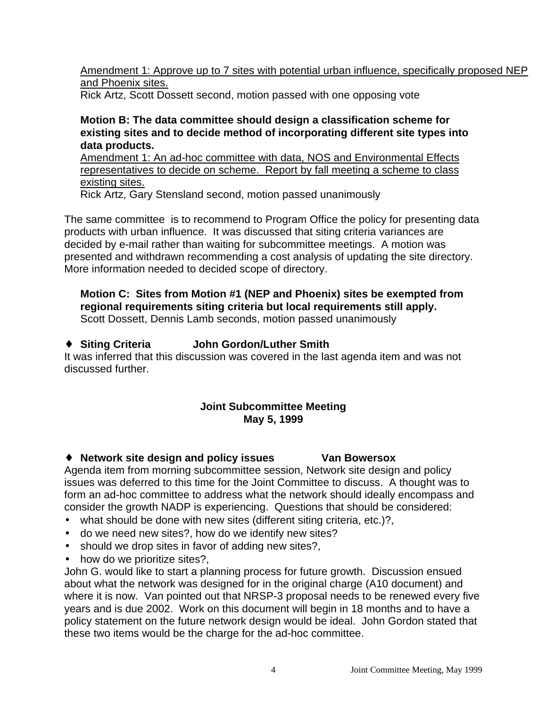Amendment 1: Approve up to 7 sites with potential urban influence, specifically proposed NEP and Phoenix sites.

Rick Artz, Scott Dossett second, motion passed with one opposing vote

#### **Motion B: The data committee should design a classification scheme for existing sites and to decide method of incorporating different site types into data products.**

Amendment 1: An ad-hoc committee with data, NOS and Environmental Effects representatives to decide on scheme. Report by fall meeting a scheme to class existing sites.

Rick Artz, Gary Stensland second, motion passed unanimously

The same committee is to recommend to Program Office the policy for presenting data products with urban influence. It was discussed that siting criteria variances are decided by e-mail rather than waiting for subcommittee meetings. A motion was presented and withdrawn recommending a cost analysis of updating the site directory. More information needed to decided scope of directory.

#### **Motion C: Sites from Motion #1 (NEP and Phoenix) sites be exempted from regional requirements siting criteria but local requirements still apply.** Scott Dossett, Dennis Lamb seconds, motion passed unanimously

# ♦ **Siting Criteria John Gordon/Luther Smith**

It was inferred that this discussion was covered in the last agenda item and was not discussed further.

# **Joint Subcommittee Meeting May 5, 1999**

#### ♦ **Network site design and policy issues Van Bowersox**

Agenda item from morning subcommittee session, Network site design and policy issues was deferred to this time for the Joint Committee to discuss. A thought was to form an ad-hoc committee to address what the network should ideally encompass and consider the growth NADP is experiencing. Questions that should be considered:

- what should be done with new sites (different siting criteria, etc.)?,
- do we need new sites?, how do we identify new sites?
- should we drop sites in favor of adding new sites?,
- how do we prioritize sites?,

John G. would like to start a planning process for future growth. Discussion ensued about what the network was designed for in the original charge (A10 document) and where it is now. Van pointed out that NRSP-3 proposal needs to be renewed every five years and is due 2002. Work on this document will begin in 18 months and to have a policy statement on the future network design would be ideal. John Gordon stated that these two items would be the charge for the ad-hoc committee.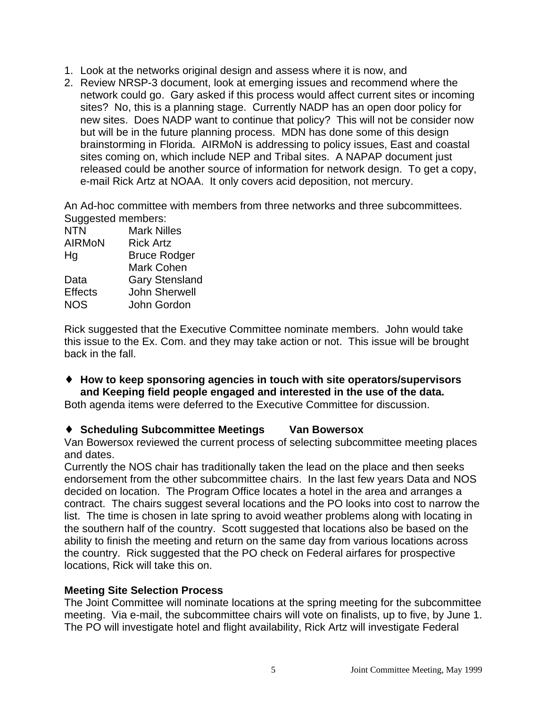- 1. Look at the networks original design and assess where it is now, and
- 2. Review NRSP-3 document, look at emerging issues and recommend where the network could go. Gary asked if this process would affect current sites or incoming sites? No, this is a planning stage. Currently NADP has an open door policy for new sites. Does NADP want to continue that policy? This will not be consider now but will be in the future planning process. MDN has done some of this design brainstorming in Florida. AIRMoN is addressing to policy issues, East and coastal sites coming on, which include NEP and Tribal sites. A NAPAP document just released could be another source of information for network design. To get a copy, e-mail Rick Artz at NOAA. It only covers acid deposition, not mercury.

An Ad-hoc committee with members from three networks and three subcommittees. Suggested members:

| <b>NTN</b>     | <b>Mark Nilles</b>    |
|----------------|-----------------------|
| <b>AIRMON</b>  | <b>Rick Artz</b>      |
| Ηg             | <b>Bruce Rodger</b>   |
|                | <b>Mark Cohen</b>     |
| Data           | <b>Gary Stensland</b> |
| <b>Effects</b> | <b>John Sherwell</b>  |
| <b>NOS</b>     | John Gordon           |
|                |                       |

Rick suggested that the Executive Committee nominate members. John would take this issue to the Ex. Com. and they may take action or not. This issue will be brought back in the fall.

♦ **How to keep sponsoring agencies in touch with site operators/supervisors and Keeping field people engaged and interested in the use of the data.**

Both agenda items were deferred to the Executive Committee for discussion.

# ♦ **Scheduling Subcommittee Meetings Van Bowersox**

Van Bowersox reviewed the current process of selecting subcommittee meeting places and dates.

Currently the NOS chair has traditionally taken the lead on the place and then seeks endorsement from the other subcommittee chairs. In the last few years Data and NOS decided on location. The Program Office locates a hotel in the area and arranges a contract. The chairs suggest several locations and the PO looks into cost to narrow the list. The time is chosen in late spring to avoid weather problems along with locating in the southern half of the country. Scott suggested that locations also be based on the ability to finish the meeting and return on the same day from various locations across the country. Rick suggested that the PO check on Federal airfares for prospective locations, Rick will take this on.

#### **Meeting Site Selection Process**

The Joint Committee will nominate locations at the spring meeting for the subcommittee meeting. Via e-mail, the subcommittee chairs will vote on finalists, up to five, by June 1. The PO will investigate hotel and flight availability, Rick Artz will investigate Federal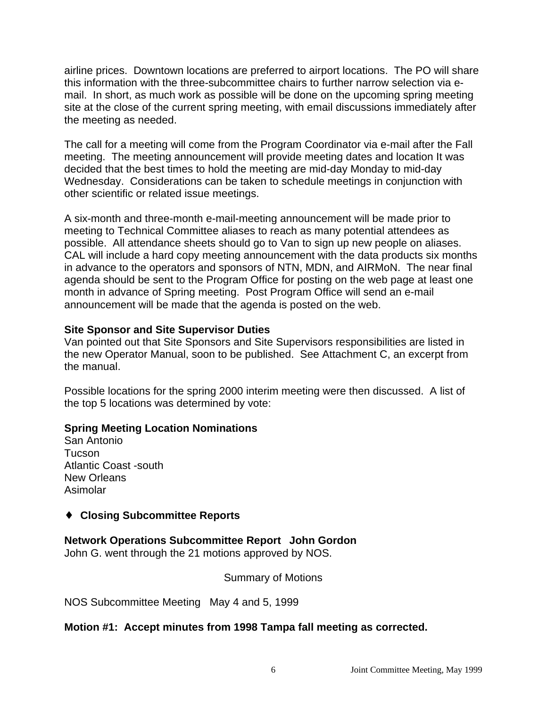airline prices. Downtown locations are preferred to airport locations. The PO will share this information with the three-subcommittee chairs to further narrow selection via email. In short, as much work as possible will be done on the upcoming spring meeting site at the close of the current spring meeting, with email discussions immediately after the meeting as needed.

The call for a meeting will come from the Program Coordinator via e-mail after the Fall meeting. The meeting announcement will provide meeting dates and location It was decided that the best times to hold the meeting are mid-day Monday to mid-day Wednesday. Considerations can be taken to schedule meetings in conjunction with other scientific or related issue meetings.

A six-month and three-month e-mail-meeting announcement will be made prior to meeting to Technical Committee aliases to reach as many potential attendees as possible. All attendance sheets should go to Van to sign up new people on aliases. CAL will include a hard copy meeting announcement with the data products six months in advance to the operators and sponsors of NTN, MDN, and AIRMoN. The near final agenda should be sent to the Program Office for posting on the web page at least one month in advance of Spring meeting. Post Program Office will send an e-mail announcement will be made that the agenda is posted on the web.

#### **Site Sponsor and Site Supervisor Duties**

Van pointed out that Site Sponsors and Site Supervisors responsibilities are listed in the new Operator Manual, soon to be published. See Attachment C, an excerpt from the manual.

Possible locations for the spring 2000 interim meeting were then discussed. A list of the top 5 locations was determined by vote:

#### **Spring Meeting Location Nominations**

San Antonio Tucson Atlantic Coast -south New Orleans Asimolar

#### ♦ **Closing Subcommittee Reports**

#### **Network Operations Subcommittee Report John Gordon**

John G. went through the 21 motions approved by NOS.

#### Summary of Motions

NOS Subcommittee Meeting May 4 and 5, 1999

#### **Motion #1: Accept minutes from 1998 Tampa fall meeting as corrected.**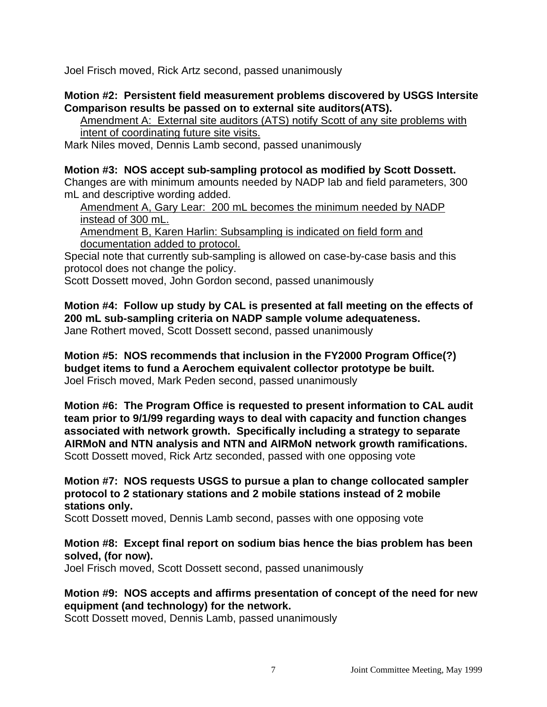Joel Frisch moved, Rick Artz second, passed unanimously

#### **Motion #2: Persistent field measurement problems discovered by USGS Intersite Comparison results be passed on to external site auditors(ATS).**

Amendment A: External site auditors (ATS) notify Scott of any site problems with intent of coordinating future site visits.

Mark Niles moved, Dennis Lamb second, passed unanimously

#### **Motion #3: NOS accept sub-sampling protocol as modified by Scott Dossett.**

Changes are with minimum amounts needed by NADP lab and field parameters, 300 mL and descriptive wording added.

Amendment A, Gary Lear: 200 mL becomes the minimum needed by NADP instead of 300 mL.

Amendment B, Karen Harlin: Subsampling is indicated on field form and documentation added to protocol.

Special note that currently sub-sampling is allowed on case-by-case basis and this protocol does not change the policy.

Scott Dossett moved, John Gordon second, passed unanimously

**Motion #4: Follow up study by CAL is presented at fall meeting on the effects of 200 mL sub-sampling criteria on NADP sample volume adequateness.**

Jane Rothert moved, Scott Dossett second, passed unanimously

**Motion #5: NOS recommends that inclusion in the FY2000 Program Office(?) budget items to fund a Aerochem equivalent collector prototype be built.** Joel Frisch moved, Mark Peden second, passed unanimously

**Motion #6: The Program Office is requested to present information to CAL audit team prior to 9/1/99 regarding ways to deal with capacity and function changes associated with network growth. Specifically including a strategy to separate AIRMoN and NTN analysis and NTN and AIRMoN network growth ramifications.** Scott Dossett moved, Rick Artz seconded, passed with one opposing vote

**Motion #7: NOS requests USGS to pursue a plan to change collocated sampler protocol to 2 stationary stations and 2 mobile stations instead of 2 mobile stations only.**

Scott Dossett moved, Dennis Lamb second, passes with one opposing vote

**Motion #8: Except final report on sodium bias hence the bias problem has been solved, (for now).**

Joel Frisch moved, Scott Dossett second, passed unanimously

**Motion #9: NOS accepts and affirms presentation of concept of the need for new equipment (and technology) for the network.**

Scott Dossett moved, Dennis Lamb, passed unanimously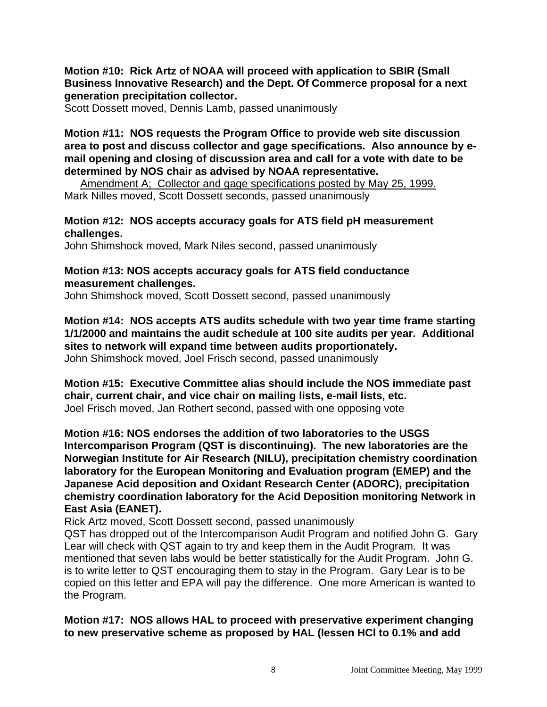#### **Motion #10: Rick Artz of NOAA will proceed with application to SBIR (Small Business Innovative Research) and the Dept. Of Commerce proposal for a next generation precipitation collector.**

Scott Dossett moved, Dennis Lamb, passed unanimously

**Motion #11: NOS requests the Program Office to provide web site discussion area to post and discuss collector and gage specifications. Also announce by email opening and closing of discussion area and call for a vote with date to be determined by NOS chair as advised by NOAA representative.** 

Amendment A; Collector and gage specifications posted by May 25, 1999. Mark Nilles moved, Scott Dossett seconds, passed unanimously

#### **Motion #12: NOS accepts accuracy goals for ATS field pH measurement challenges.**

John Shimshock moved, Mark Niles second, passed unanimously

#### **Motion #13: NOS accepts accuracy goals for ATS field conductance measurement challenges.**

John Shimshock moved, Scott Dossett second, passed unanimously

**Motion #14: NOS accepts ATS audits schedule with two year time frame starting 1/1/2000 and maintains the audit schedule at 100 site audits per year. Additional sites to network will expand time between audits proportionately.**

John Shimshock moved, Joel Frisch second, passed unanimously

**Motion #15: Executive Committee alias should include the NOS immediate past chair, current chair, and vice chair on mailing lists, e-mail lists, etc.** Joel Frisch moved, Jan Rothert second, passed with one opposing vote

**Motion #16: NOS endorses the addition of two laboratories to the USGS Intercomparison Program (QST is discontinuing). The new laboratories are the Norwegian Institute for Air Research (NILU), precipitation chemistry coordination laboratory for the European Monitoring and Evaluation program (EMEP) and the Japanese Acid deposition and Oxidant Research Center (ADORC), precipitation chemistry coordination laboratory for the Acid Deposition monitoring Network in East Asia (EANET).**

Rick Artz moved, Scott Dossett second, passed unanimously

QST has dropped out of the Intercomparison Audit Program and notified John G. Gary Lear will check with QST again to try and keep them in the Audit Program. It was mentioned that seven labs would be better statistically for the Audit Program. John G. is to write letter to QST encouraging them to stay in the Program. Gary Lear is to be copied on this letter and EPA will pay the difference. One more American is wanted to the Program.

**Motion #17: NOS allows HAL to proceed with preservative experiment changing to new preservative scheme as proposed by HAL (lessen HCl to 0.1% and add**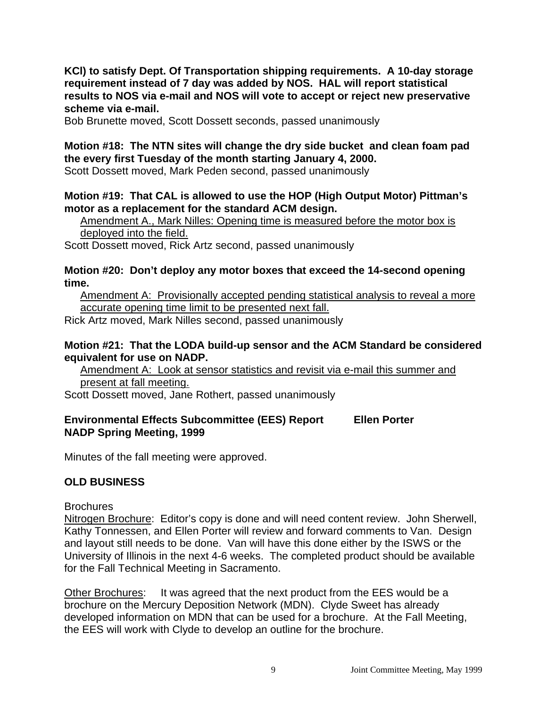**KCl) to satisfy Dept. Of Transportation shipping requirements. A 10-day storage requirement instead of 7 day was added by NOS. HAL will report statistical results to NOS via e-mail and NOS will vote to accept or reject new preservative scheme via e-mail.**

Bob Brunette moved, Scott Dossett seconds, passed unanimously

# **Motion #18: The NTN sites will change the dry side bucket and clean foam pad the every first Tuesday of the month starting January 4, 2000.**

Scott Dossett moved, Mark Peden second, passed unanimously

#### **Motion #19: That CAL is allowed to use the HOP (High Output Motor) Pittman's motor as a replacement for the standard ACM design.**

Amendment A., Mark Nilles: Opening time is measured before the motor box is deployed into the field.

Scott Dossett moved, Rick Artz second, passed unanimously

#### **Motion #20: Don't deploy any motor boxes that exceed the 14-second opening time.**

Amendment A: Provisionally accepted pending statistical analysis to reveal a more accurate opening time limit to be presented next fall.

Rick Artz moved, Mark Nilles second, passed unanimously

#### **Motion #21: That the LODA build-up sensor and the ACM Standard be considered equivalent for use on NADP.**

Amendment A: Look at sensor statistics and revisit via e-mail this summer and present at fall meeting.

Scott Dossett moved, Jane Rothert, passed unanimously

#### **Environmental Effects Subcommittee (EES) Report Ellen Porter NADP Spring Meeting, 1999**

Minutes of the fall meeting were approved.

# **OLD BUSINESS**

**Brochures** 

Nitrogen Brochure: Editor's copy is done and will need content review. John Sherwell, Kathy Tonnessen, and Ellen Porter will review and forward comments to Van. Design and layout still needs to be done. Van will have this done either by the ISWS or the University of Illinois in the next 4-6 weeks. The completed product should be available for the Fall Technical Meeting in Sacramento.

Other Brochures: It was agreed that the next product from the EES would be a brochure on the Mercury Deposition Network (MDN). Clyde Sweet has already developed information on MDN that can be used for a brochure. At the Fall Meeting, the EES will work with Clyde to develop an outline for the brochure.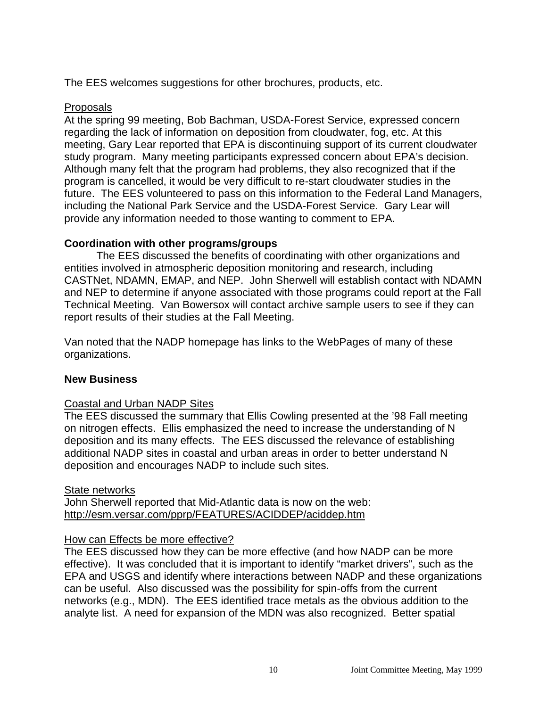The EES welcomes suggestions for other brochures, products, etc.

#### Proposals

At the spring 99 meeting, Bob Bachman, USDA-Forest Service, expressed concern regarding the lack of information on deposition from cloudwater, fog, etc. At this meeting, Gary Lear reported that EPA is discontinuing support of its current cloudwater study program. Many meeting participants expressed concern about EPA's decision. Although many felt that the program had problems, they also recognized that if the program is cancelled, it would be very difficult to re-start cloudwater studies in the future. The EES volunteered to pass on this information to the Federal Land Managers, including the National Park Service and the USDA-Forest Service. Gary Lear will provide any information needed to those wanting to comment to EPA.

# **Coordination with other programs/groups**

The EES discussed the benefits of coordinating with other organizations and entities involved in atmospheric deposition monitoring and research, including CASTNet, NDAMN, EMAP, and NEP. John Sherwell will establish contact with NDAMN and NEP to determine if anyone associated with those programs could report at the Fall Technical Meeting. Van Bowersox will contact archive sample users to see if they can report results of their studies at the Fall Meeting.

Van noted that the NADP homepage has links to the WebPages of many of these organizations.

# **New Business**

#### Coastal and Urban NADP Sites

The EES discussed the summary that Ellis Cowling presented at the '98 Fall meeting on nitrogen effects. Ellis emphasized the need to increase the understanding of N deposition and its many effects. The EES discussed the relevance of establishing additional NADP sites in coastal and urban areas in order to better understand N deposition and encourages NADP to include such sites.

#### State networks

John Sherwell reported that Mid-Atlantic data is now on the web: http://esm.versar.com/pprp/FEATURES/ACIDDEP/aciddep.htm

#### How can Effects be more effective?

The EES discussed how they can be more effective (and how NADP can be more effective). It was concluded that it is important to identify "market drivers", such as the EPA and USGS and identify where interactions between NADP and these organizations can be useful. Also discussed was the possibility for spin-offs from the current networks (e.g., MDN). The EES identified trace metals as the obvious addition to the analyte list. A need for expansion of the MDN was also recognized. Better spatial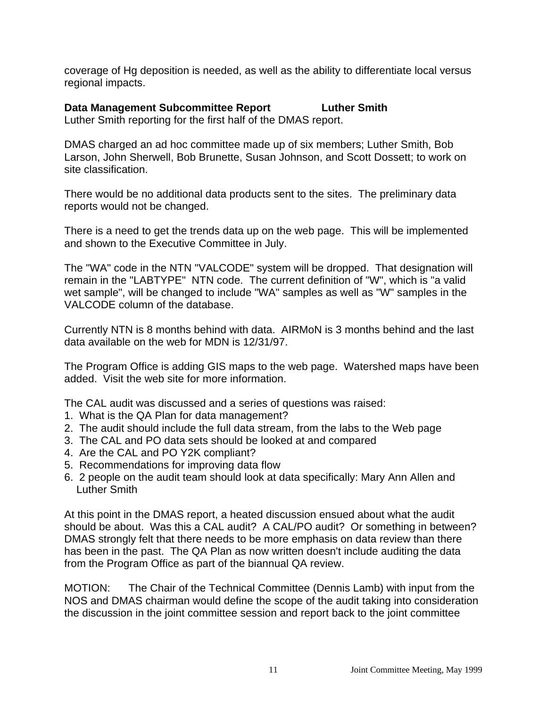coverage of Hg deposition is needed, as well as the ability to differentiate local versus regional impacts.

**Data Management Subcommittee Report Luther Smith** Luther Smith reporting for the first half of the DMAS report.

DMAS charged an ad hoc committee made up of six members; Luther Smith, Bob Larson, John Sherwell, Bob Brunette, Susan Johnson, and Scott Dossett; to work on site classification.

There would be no additional data products sent to the sites. The preliminary data reports would not be changed.

There is a need to get the trends data up on the web page. This will be implemented and shown to the Executive Committee in July.

The "WA" code in the NTN "VALCODE" system will be dropped. That designation will remain in the "LABTYPE" NTN code. The current definition of "W", which is "a valid wet sample", will be changed to include "WA" samples as well as "W" samples in the VALCODE column of the database.

Currently NTN is 8 months behind with data. AIRMoN is 3 months behind and the last data available on the web for MDN is 12/31/97.

The Program Office is adding GIS maps to the web page. Watershed maps have been added. Visit the web site for more information.

The CAL audit was discussed and a series of questions was raised:

- 1. What is the QA Plan for data management?
- 2. The audit should include the full data stream, from the labs to the Web page
- 3. The CAL and PO data sets should be looked at and compared
- 4. Are the CAL and PO Y2K compliant?
- 5. Recommendations for improving data flow
- 6. 2 people on the audit team should look at data specifically: Mary Ann Allen and Luther Smith

At this point in the DMAS report, a heated discussion ensued about what the audit should be about. Was this a CAL audit? A CAL/PO audit? Or something in between? DMAS strongly felt that there needs to be more emphasis on data review than there has been in the past. The QA Plan as now written doesn't include auditing the data from the Program Office as part of the biannual QA review.

MOTION: The Chair of the Technical Committee (Dennis Lamb) with input from the NOS and DMAS chairman would define the scope of the audit taking into consideration the discussion in the joint committee session and report back to the joint committee